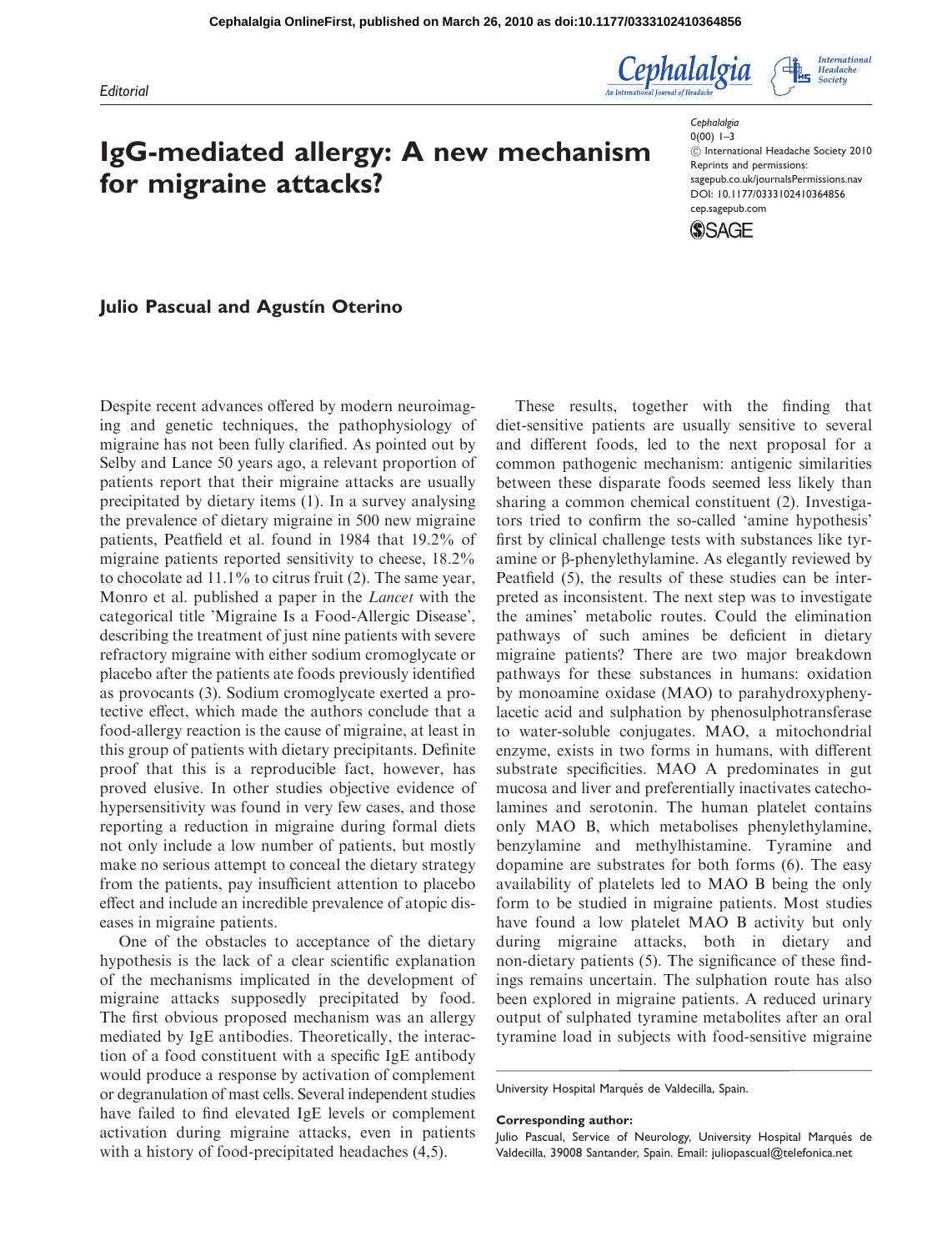



# IgG-mediated allergy: A new mechanism for migraine attacks?

Cephalalgia  $0(00)$  1–3 ! International Headache Society 2010 Reprints and permissions: sagepub.co.uk/journalsPermissions.nav DOI: 10.1177/0333102410364856 cep.sagepub.com



## Julio Pascual and Agustín Oterino

Despite recent advances offered by modern neuroimaging and genetic techniques, the pathophysiology of migraine has not been fully clarified. As pointed out by Selby and Lance 50 years ago, a relevant proportion of patients report that their migraine attacks are usually precipitated by dietary items (1). In a survey analysing the prevalence of dietary migraine in 500 new migraine patients, Peatfield et al. found in 1984 that 19.2% of migraine patients reported sensitivity to cheese, 18.2% to chocolate ad 11.1% to citrus fruit (2). The same year, Monro et al. published a paper in the Lancet with the categorical title 'Migraine Is a Food-Allergic Disease', describing the treatment of just nine patients with severe refractory migraine with either sodium cromoglycate or placebo after the patients ate foods previously identified as provocants (3). Sodium cromoglycate exerted a protective effect, which made the authors conclude that a food-allergy reaction is the cause of migraine, at least in this group of patients with dietary precipitants. Definite proof that this is a reproducible fact, however, has proved elusive. In other studies objective evidence of hypersensitivity was found in very few cases, and those reporting a reduction in migraine during formal diets not only include a low number of patients, but mostly make no serious attempt to conceal the dietary strategy from the patients, pay insufficient attention to placebo effect and include an incredible prevalence of atopic diseases in migraine patients.

One of the obstacles to acceptance of the dietary hypothesis is the lack of a clear scientific explanation of the mechanisms implicated in the development of migraine attacks supposedly precipitated by food. The first obvious proposed mechanism was an allergy mediated by IgE antibodies. Theoretically, the interaction of a food constituent with a specific IgE antibody would produce a response by activation of complement or degranulation of mast cells. Several independent studies have failed to find elevated IgE levels or complement activation during migraine attacks, even in patients with a history of food-precipitated headaches (4,5).

These results, together with the finding that diet-sensitive patients are usually sensitive to several and different foods, led to the next proposal for a common pathogenic mechanism: antigenic similarities between these disparate foods seemed less likely than sharing a common chemical constituent (2). Investigators tried to confirm the so-called 'amine hypothesis' first by clinical challenge tests with substances like tyramine or  $\beta$ -phenylethylamine. As elegantly reviewed by Peatfield (5), the results of these studies can be interpreted as inconsistent. The next step was to investigate the amines' metabolic routes. Could the elimination pathways of such amines be deficient in dietary migraine patients? There are two major breakdown pathways for these substances in humans: oxidation by monoamine oxidase (MAO) to parahydroxyphenylacetic acid and sulphation by phenosulphotransferase to water-soluble conjugates. MAO, a mitochondrial enzyme, exists in two forms in humans, with different substrate specificities. MAO A predominates in gut mucosa and liver and preferentially inactivates catecholamines and serotonin. The human platelet contains only MAO B, which metabolises phenylethylamine, benzylamine and methylhistamine. Tyramine and dopamine are substrates for both forms (6). The easy availability of platelets led to MAO B being the only form to be studied in migraine patients. Most studies have found a low platelet MAO B activity but only during migraine attacks, both in dietary and non-dietary patients (5). The significance of these findings remains uncertain. The sulphation route has also been explored in migraine patients. A reduced urinary output of sulphated tyramine metabolites after an oral tyramine load in subjects with food-sensitive migraine

#### Corresponding author:

Julio Pascual, Service of Neurology, University Hospital Marqués de Valdecilla, 39008 Santander, Spain. Email: juliopascual@telefonica.net

University Hospital Marqués de Valdecilla, Spain.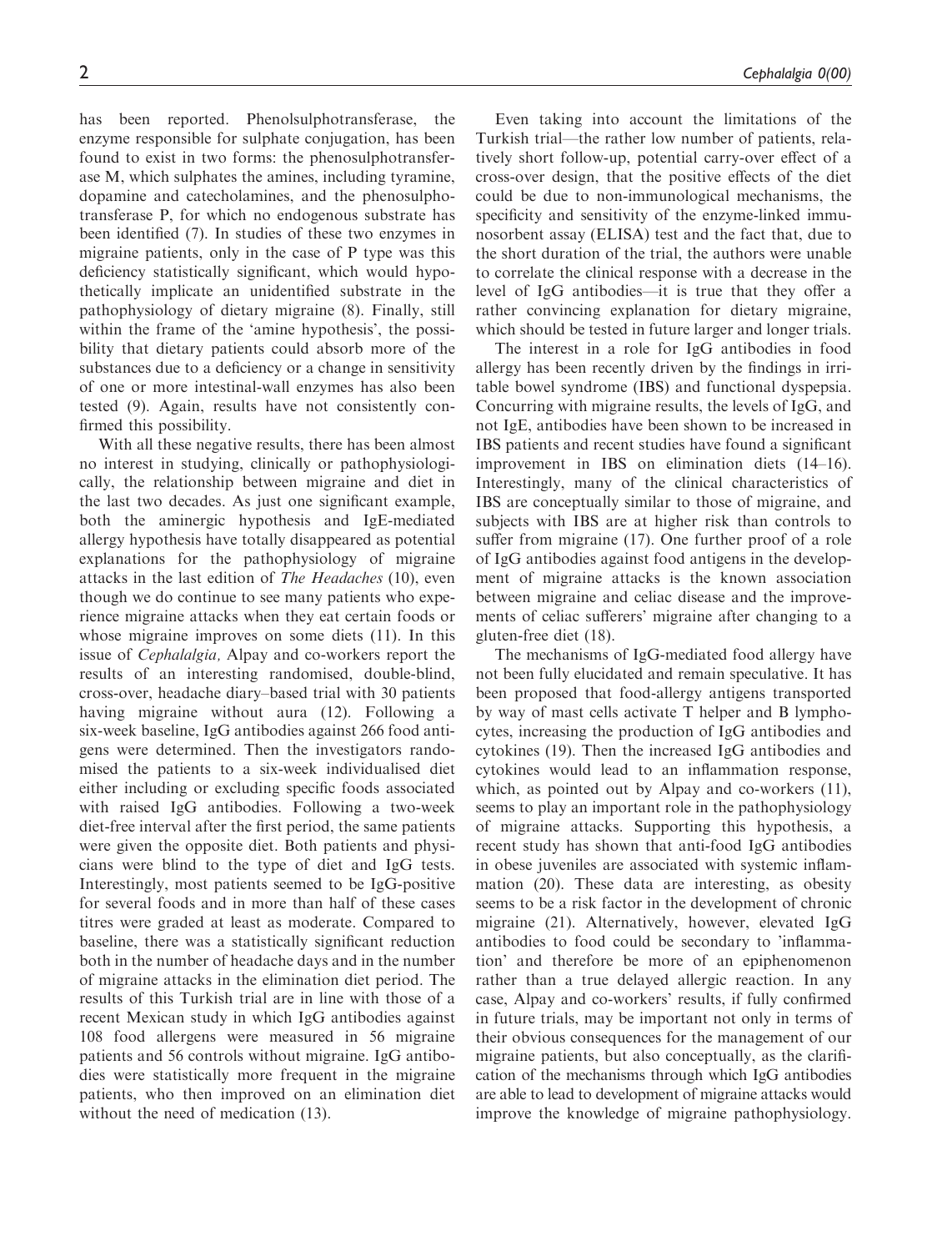has been reported. Phenolsulphotransferase, the enzyme responsible for sulphate conjugation, has been found to exist in two forms: the phenosulphotransferase M, which sulphates the amines, including tyramine, dopamine and catecholamines, and the phenosulphotransferase P, for which no endogenous substrate has been identified (7). In studies of these two enzymes in migraine patients, only in the case of P type was this deficiency statistically significant, which would hypothetically implicate an unidentified substrate in the pathophysiology of dietary migraine (8). Finally, still within the frame of the 'amine hypothesis', the possibility that dietary patients could absorb more of the substances due to a deficiency or a change in sensitivity of one or more intestinal-wall enzymes has also been tested (9). Again, results have not consistently confirmed this possibility.

With all these negative results, there has been almost no interest in studying, clinically or pathophysiologically, the relationship between migraine and diet in the last two decades. As just one significant example, both the aminergic hypothesis and IgE-mediated allergy hypothesis have totally disappeared as potential explanations for the pathophysiology of migraine attacks in the last edition of The Headaches (10), even though we do continue to see many patients who experience migraine attacks when they eat certain foods or whose migraine improves on some diets (11). In this issue of Cephalalgia, Alpay and co-workers report the results of an interesting randomised, double-blind, cross-over, headache diary–based trial with 30 patients having migraine without aura (12). Following a six-week baseline, IgG antibodies against 266 food antigens were determined. Then the investigators randomised the patients to a six-week individualised diet either including or excluding specific foods associated with raised IgG antibodies. Following a two-week diet-free interval after the first period, the same patients were given the opposite diet. Both patients and physicians were blind to the type of diet and IgG tests. Interestingly, most patients seemed to be IgG-positive for several foods and in more than half of these cases titres were graded at least as moderate. Compared to baseline, there was a statistically significant reduction both in the number of headache days and in the number of migraine attacks in the elimination diet period. The results of this Turkish trial are in line with those of a recent Mexican study in which IgG antibodies against 108 food allergens were measured in 56 migraine patients and 56 controls without migraine. IgG antibodies were statistically more frequent in the migraine patients, who then improved on an elimination diet without the need of medication (13).

 $2$  Cephalalgia  $0(00)$ 

Even taking into account the limitations of the Turkish trial—the rather low number of patients, relatively short follow-up, potential carry-over effect of a cross-over design, that the positive effects of the diet could be due to non-immunological mechanisms, the specificity and sensitivity of the enzyme-linked immunosorbent assay (ELISA) test and the fact that, due to the short duration of the trial, the authors were unable to correlate the clinical response with a decrease in the level of IgG antibodies—it is true that they offer a rather convincing explanation for dietary migraine, which should be tested in future larger and longer trials.

The interest in a role for IgG antibodies in food allergy has been recently driven by the findings in irritable bowel syndrome (IBS) and functional dyspepsia. Concurring with migraine results, the levels of IgG, and not IgE, antibodies have been shown to be increased in IBS patients and recent studies have found a significant improvement in IBS on elimination diets (14–16). Interestingly, many of the clinical characteristics of IBS are conceptually similar to those of migraine, and subjects with IBS are at higher risk than controls to suffer from migraine (17). One further proof of a role of IgG antibodies against food antigens in the development of migraine attacks is the known association between migraine and celiac disease and the improvements of celiac sufferers' migraine after changing to a gluten-free diet (18).

The mechanisms of IgG-mediated food allergy have not been fully elucidated and remain speculative. It has been proposed that food-allergy antigens transported by way of mast cells activate T helper and B lymphocytes, increasing the production of IgG antibodies and cytokines (19). Then the increased IgG antibodies and cytokines would lead to an inflammation response, which, as pointed out by Alpay and co-workers (11), seems to play an important role in the pathophysiology of migraine attacks. Supporting this hypothesis, a recent study has shown that anti-food IgG antibodies in obese juveniles are associated with systemic inflammation (20). These data are interesting, as obesity seems to be a risk factor in the development of chronic migraine (21). Alternatively, however, elevated IgG antibodies to food could be secondary to 'inflammation' and therefore be more of an epiphenomenon rather than a true delayed allergic reaction. In any case, Alpay and co-workers' results, if fully confirmed in future trials, may be important not only in terms of their obvious consequences for the management of our migraine patients, but also conceptually, as the clarification of the mechanisms through which IgG antibodies are able to lead to development of migraine attacks would improve the knowledge of migraine pathophysiology.